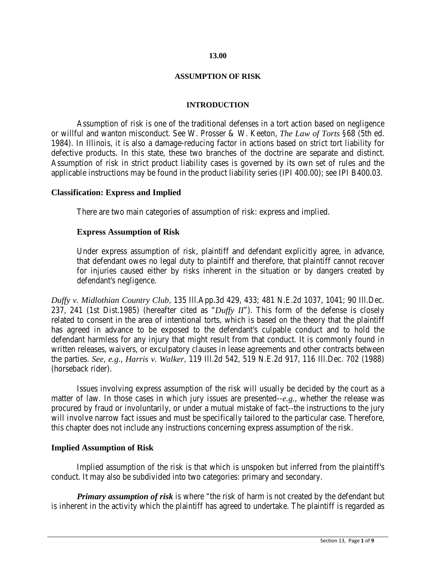### **13.00**

### **ASSUMPTION OF RISK**

### **INTRODUCTION**

Assumption of risk is one of the traditional defenses in a tort action based on negligence or willful and wanton misconduct. See W. Prosser & W. Keeton, *The Law of Torts* §68 (5th ed. 1984). In Illinois, it is also a damage-reducing factor in actions based on strict tort liability for defective products. In this state, these two branches of the doctrine are separate and distinct. Assumption of risk in strict product liability cases is governed by its own set of rules and the applicable instructions may be found in the product liability series (IPI 400.00); see IPI B400.03.

### **Classification: Express and Implied**

There are two main categories of assumption of risk: express and implied.

### **Express Assumption of Risk**

Under express assumption of risk, plaintiff and defendant explicitly agree, in advance, that defendant owes no legal duty to plaintiff and therefore, that plaintiff cannot recover for injuries caused either by risks inherent in the situation or by dangers created by defendant's negligence.

*Duffy v. Midlothian Country Club*, 135 Ill.App.3d 429, 433; 481 N.E.2d 1037, 1041; 90 Ill.Dec. 237, 241 (1st Dist.1985) (hereafter cited as "*Duffy II*"). This form of the defense is closely related to consent in the area of intentional torts, which is based on the theory that the plaintiff has agreed in advance to be exposed to the defendant's culpable conduct and to hold the defendant harmless for any injury that might result from that conduct. It is commonly found in written releases, waivers, or exculpatory clauses in lease agreements and other contracts between the parties. *See*, *e.g*., *Harris v. Walker*, 119 Ill.2d 542, 519 N.E.2d 917, 116 Ill.Dec. 702 (1988) (horseback rider).

Issues involving express assumption of the risk will usually be decided by the court as a matter of law. In those cases in which jury issues are presented--*e.g.*, whether the release was procured by fraud or involuntarily, or under a mutual mistake of fact--the instructions to the jury will involve narrow fact issues and must be specifically tailored to the particular case. Therefore, this chapter does not include any instructions concerning express assumption of the risk.

### **Implied Assumption of Risk**

Implied assumption of the risk is that which is unspoken but inferred from the plaintiff's conduct. It may also be subdivided into two categories: primary and secondary.

*Primary assumption of risk* is where "the risk of harm is not created by the defendant but is inherent in the activity which the plaintiff has agreed to undertake. The plaintiff is regarded as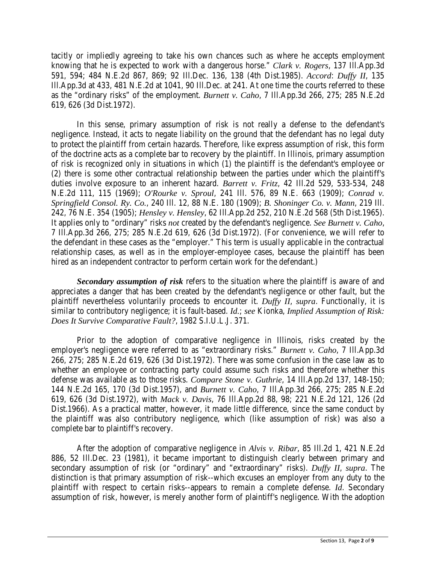tacitly or impliedly agreeing to take his own chances such as where he accepts employment knowing that he is expected to work with a dangerous horse." *Clark v. Rogers*, 137 Ill.App.3d 591, 594; 484 N.E.2d 867, 869; 92 Ill.Dec. 136, 138 (4th Dist.1985). *Accord*: *Duffy II*, 135 Ill.App.3d at 433, 481 N.E.2d at 1041, 90 Ill.Dec. at 241. At one time the courts referred to these as the "ordinary risks" of the employment. *Burnett v. Caho*, 7 Ill.App.3d 266, 275; 285 N.E.2d 619, 626 (3d Dist.1972).

In this sense, primary assumption of risk is not really a defense to the defendant's negligence. Instead, it acts to negate liability on the ground that the defendant has no legal duty to protect the plaintiff from certain hazards. Therefore, like express assumption of risk, this form of the doctrine acts as a complete bar to recovery by the plaintiff. In Illinois, primary assumption of risk is recognized only in situations in which (1) the plaintiff is the defendant's employee or (2) there is some other contractual relationship between the parties under which the plaintiff's duties involve exposure to an inherent hazard. *Barrett v. Fritz*, 42 Ill.2d 529, 533-534, 248 N.E.2d 111, 115 (1969); *O'Rourke v. Sproul*, 241 Ill. 576, 89 N.E. 663 (1909); *Conrad v. Springfield Consol. Ry. Co.*, 240 Ill. 12, 88 N.E. 180 (1909); *B. Shoninger Co. v. Mann*, 219 Ill. 242, 76 N.E. 354 (1905); *Hensley v. Hensley*, 62 Ill.App.2d 252, 210 N.E.2d 568 (5th Dist.1965). It applies only to "ordinary" risks *not* created by the defendant's negligence. *See Burnett v. Caho*, 7 Ill.App.3d 266, 275; 285 N.E.2d 619, 626 (3d Dist.1972). (For convenience, we will refer to the defendant in these cases as the "employer." This term is usually applicable in the contractual relationship cases, as well as in the employer-employee cases, because the plaintiff has been hired as an independent contractor to perform certain work for the defendant.)

*Secondary assumption of risk* refers to the situation where the plaintiff is aware of and appreciates a danger that has been created by the defendant's negligence or other fault, but the plaintiff nevertheless voluntarily proceeds to encounter it. *Duffy II*, *supra*. Functionally, it is similar to contributory negligence; it is fault-based. *Id.*; *see* Kionka, *Implied Assumption of Risk: Does It Survive Comparative Fault?*, 1982 S.I.U.L.J. 371.

Prior to the adoption of comparative negligence in Illinois, risks created by the employer's negligence were referred to as "extraordinary risks." *Burnett v. Caho*, 7 Ill.App.3d 266, 275; 285 N.E.2d 619, 626 (3d Dist.1972). There was some confusion in the case law as to whether an employee or contracting party could assume such risks and therefore whether this defense was available as to those risks. *Compare Stone v. Guthrie*, 14 Ill.App.2d 137, 148-150; 144 N.E.2d 165, 170 (3d Dist.1957), and *Burnett v. Caho*, 7 Ill.App.3d 266, 275; 285 N.E.2d 619, 626 (3d Dist.1972), with *Mack v. Davis*, 76 Ill.App.2d 88, 98; 221 N.E.2d 121, 126 (2d Dist.1966). As a practical matter, however, it made little difference, since the same conduct by the plaintiff was also contributory negligence, which (like assumption of risk) was also a complete bar to plaintiff's recovery.

After the adoption of comparative negligence in *Alvis v. Ribar*, 85 Ill.2d 1, 421 N.E.2d 886, 52 Ill.Dec. 23 (1981), it became important to distinguish clearly between primary and secondary assumption of risk (or "ordinary" and "extraordinary" risks). *Duffy II*, *supra*. The distinction is that primary assumption of risk--which excuses an employer from any duty to the plaintiff with respect to certain risks--appears to remain a complete defense. *Id*. Secondary assumption of risk, however, is merely another form of plaintiff's negligence. With the adoption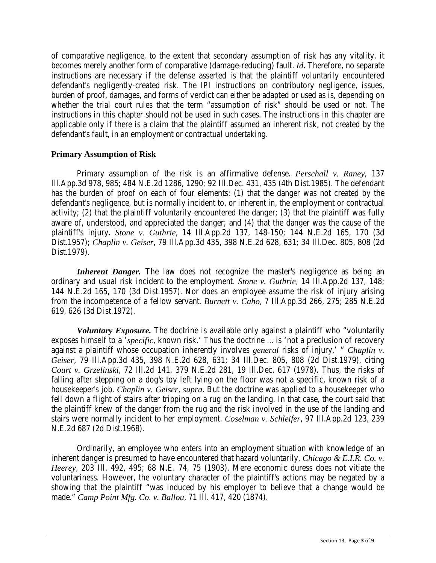of comparative negligence, to the extent that secondary assumption of risk has any vitality, it becomes merely another form of comparative (damage-reducing) fault. *Id*. Therefore, no separate instructions are necessary if the defense asserted is that the plaintiff voluntarily encountered defendant's negligently-created risk. The IPI instructions on contributory negligence, issues, burden of proof, damages, and forms of verdict can either be adapted or used as is, depending on whether the trial court rules that the term "assumption of risk" should be used or not. The instructions in this chapter should not be used in such cases. The instructions in this chapter are applicable only if there is a claim that the plaintiff assumed an inherent risk, not created by the defendant's fault, in an employment or contractual undertaking.

# **Primary Assumption of Risk**

Primary assumption of the risk is an affirmative defense. *Perschall v. Raney*, 137 Ill.App.3d 978, 985; 484 N.E.2d 1286, 1290; 92 Ill.Dec. 431, 435 (4th Dist.1985). The defendant has the burden of proof on each of four elements: (1) that the danger was not created by the defendant's negligence, but is normally incident to, or inherent in, the employment or contractual activity; (2) that the plaintiff voluntarily encountered the danger; (3) that the plaintiff was fully aware of, understood, and appreciated the danger; and (4) that the danger was the cause of the plaintiff's injury. *Stone v. Guthrie*, 14 Ill.App.2d 137, 148-150; 144 N.E.2d 165, 170 (3d Dist.1957); *Chaplin v. Geiser*, 79 Ill.App.3d 435, 398 N.E.2d 628, 631; 34 Ill.Dec. 805, 808 (2d Dist.1979).

*Inherent Danger*. The law does not recognize the master's negligence as being an ordinary and usual risk incident to the employment. *Stone v. Guthrie*, 14 Ill.App.2d 137, 148; 144 N.E.2d 165, 170 (3d Dist.1957). Nor does an employee assume the risk of injury arising from the incompetence of a fellow servant. *Burnett v. Caho*, 7 Ill.App.3d 266, 275; 285 N.E.2d 619, 626 (3d Dist.1972).

*Voluntary Exposure.* The doctrine is available only against a plaintiff who "voluntarily exposes himself to a '*specific*, known risk.' Thus the doctrine ... is 'not a preclusion of recovery against a plaintiff whose occupation inherently involves *general* risks of injury.' " *Chaplin v. Geiser*, 79 Ill.App.3d 435, 398 N.E.2d 628, 631; 34 Ill.Dec. 805, 808 (2d Dist.1979), citing *Court v. Grzelinski*, 72 Ill.2d 141, 379 N.E.2d 281, 19 Ill.Dec. 617 (1978). Thus, the risks of falling after stepping on a dog's toy left lying on the floor was not a specific, known risk of a housekeeper's job. *Chaplin v. Geiser*, *supra*. But the doctrine was applied to a housekeeper who fell down a flight of stairs after tripping on a rug on the landing. In that case, the court said that the plaintiff knew of the danger from the rug and the risk involved in the use of the landing and stairs were normally incident to her employment. *Coselman v. Schleifer*, 97 Ill.App.2d 123, 239 N.E.2d 687 (2d Dist.1968).

Ordinarily, an employee who enters into an employment situation with knowledge of an inherent danger is presumed to have encountered that hazard voluntarily. *Chicago & E.I.R. Co. v. Heerey*, 203 Ill. 492, 495; 68 N.E. 74, 75 (1903). Mere economic duress does not vitiate the voluntariness. However, the voluntary character of the plaintiff's actions may be negated by a showing that the plaintiff "was induced by his employer to believe that a change would be made." *Camp Point Mfg. Co. v. Ballou*, 71 Ill. 417, 420 (1874).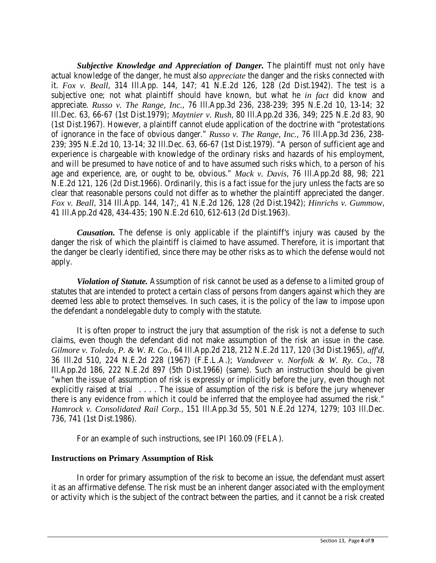*Subjective Knowledge and Appreciation of Danger.* The plaintiff must not only have actual knowledge of the danger, he must also *appreciate* the danger and the risks connected with it. *Fox v. Beall*, 314 Ill.App. 144, 147; 41 N.E.2d 126, 128 (2d Dist.1942). The test is a subjective one; not what plaintiff should have known, but what he *in fact* did know and appreciate. *Russo v. The Range, Inc.*, 76 Ill.App.3d 236, 238-239; 395 N.E.2d 10, 13-14; 32 Ill.Dec. 63, 66-67 (1st Dist.1979); *Maytnier v. Rush*, 80 Ill.App.2d 336, 349; 225 N.E.2d 83, 90 (1st Dist.1967). However, a plaintiff cannot elude application of the doctrine with "protestations of ignorance in the face of obvious danger." *Russo v. The Range, Inc.*, 76 Ill.App.3d 236, 238- 239; 395 N.E.2d 10, 13-14; 32 Ill.Dec. 63, 66-67 (1st Dist.1979). "A person of sufficient age and experience is chargeable with knowledge of the ordinary risks and hazards of his employment, and will be presumed to have notice of and to have assumed such risks which, to a person of his age and experience, are, or ought to be, obvious." *Mack v. Davis*, 76 Ill.App.2d 88, 98; 221 N.E.2d 121, 126 (2d Dist.1966). Ordinarily, this is a fact issue for the jury unless the facts are so clear that reasonable persons could not differ as to whether the plaintiff appreciated the danger. *Fox v. Beall*, 314 Ill.App. 144, 147;, 41 N.E.2d 126, 128 (2d Dist.1942); *Hinrichs v. Gummow*, 41 Ill.App.2d 428, 434-435; 190 N.E.2d 610, 612-613 (2d Dist.1963).

*Causation.* The defense is only applicable if the plaintiff's injury was caused by the danger the risk of which the plaintiff is claimed to have assumed. Therefore, it is important that the danger be clearly identified, since there may be other risks as to which the defense would not apply.

*Violation of Statute.* Assumption of risk cannot be used as a defense to a limited group of statutes that are intended to protect a certain class of persons from dangers against which they are deemed less able to protect themselves. In such cases, it is the policy of the law to impose upon the defendant a nondelegable duty to comply with the statute.

It is often proper to instruct the jury that assumption of the risk is not a defense to such claims, even though the defendant did not make assumption of the risk an issue in the case. *Gilmore v. Toledo, P. & W. R. Co.*, 64 Ill.App.2d 218, 212 N.E.2d 117, 120 (3d Dist.1965), *aff'd*, 36 Ill.2d 510, 224 N.E.2d 228 (1967) (F.E.L.A.); *Vandaveer v. Norfolk & W. Ry. Co.*, 78 Ill.App.2d 186, 222 N.E.2d 897 (5th Dist.1966) (same). Such an instruction should be given "when the issue of assumption of risk is expressly or implicitly before the jury, even though not explicitly raised at trial . . . . The issue of assumption of the risk is before the jury whenever there is any evidence from which it could be inferred that the employee had assumed the risk." *Hamrock v. Consolidated Rail Corp.*, 151 Ill.App.3d 55, 501 N.E.2d 1274, 1279; 103 Ill.Dec. 736, 741 (1st Dist.1986).

For an example of such instructions, see IPI 160.09 (FELA).

# **Instructions on Primary Assumption of Risk**

In order for primary assumption of the risk to become an issue, the defendant must assert it as an affirmative defense. The risk must be an inherent danger associated with the employment or activity which is the subject of the contract between the parties, and it cannot be a risk created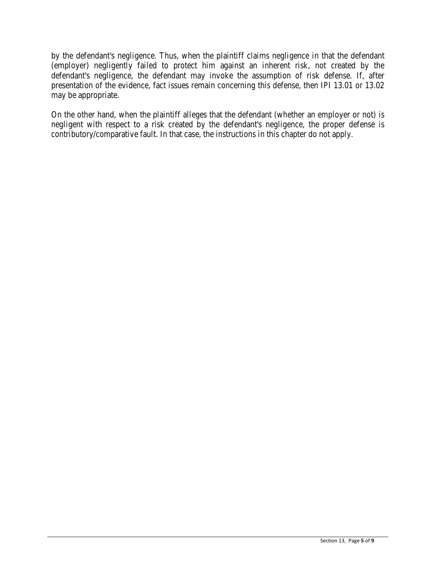by the defendant's negligence. Thus, when the plaintiff claims negligence in that the defendant (employer) negligently failed to protect him against an inherent risk, not created by the defendant's negligence, the defendant may invoke the assumption of risk defense. If, after presentation of the evidence, fact issues remain concerning this defense, then IPI 13.01 or 13.02 may be appropriate.

On the other hand, when the plaintiff alleges that the defendant (whether an employer or not) is negligent with respect to a risk created by the defendant's negligence, the proper defense is contributory/comparative fault. In that case, the instructions in this chapter do not apply.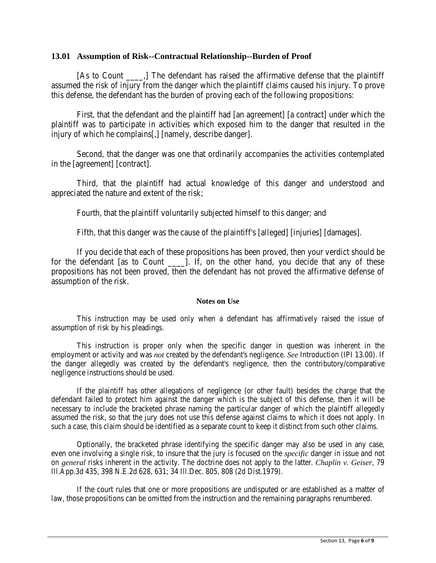## **13.01 Assumption of Risk--Contractual Relationship--Burden of Proof**

[As to Count  $\qquad$ ] The defendant has raised the affirmative defense that the plaintiff assumed the risk of injury from the danger which the plaintiff claims caused his injury. To prove this defense, the defendant has the burden of proving each of the following propositions:

First, that the defendant and the plaintiff had [an agreement] [a contract] under which the plaintiff was to participate in activities which exposed him to the danger that resulted in the injury of which he complains[,] [namely, describe danger].

Second, that the danger was one that ordinarily accompanies the activities contemplated in the [agreement] [contract].

Third, that the plaintiff had actual knowledge of this danger and understood and appreciated the nature and extent of the risk;

Fourth, that the plaintiff voluntarily subjected himself to this danger; and

Fifth, that this danger was the cause of the plaintiff's [alleged] [injuries] [damages].

If you decide that each of these propositions has been proved, then your verdict should be for the defendant [as to Count | I. If, on the other hand, you decide that any of these propositions has not been proved, then the defendant has not proved the affirmative defense of assumption of the risk.

### **Notes on Use**

This instruction may be used only when a defendant has affirmatively raised the issue of assumption of risk by his pleadings.

This instruction is proper only when the specific danger in question was inherent in the employment or activity and was *not* created by the defendant's negligence. *See* Introduction (IPI 13.00). If the danger allegedly was created by the defendant's negligence, then the contributory/comparative negligence instructions should be used.

If the plaintiff has other allegations of negligence (or other fault) besides the charge that the defendant failed to protect him against the danger which is the subject of this defense, then it will be necessary to include the bracketed phrase naming the particular danger of which the plaintiff allegedly assumed the risk, so that the jury does not use this defense against claims to which it does not apply. In such a case, this claim should be identified as a separate count to keep it distinct from such other claims.

Optionally, the bracketed phrase identifying the specific danger may also be used in any case, even one involving a single risk, to insure that the jury is focused on the *specific* danger in issue and not on *general* risks inherent in the activity. The doctrine does not apply to the latter. *Chaplin v. Geiser*, 79 Ill.App.3d 435, 398 N.E.2d 628, 631; 34 Ill.Dec. 805, 808 (2d Dist.1979).

If the court rules that one or more propositions are undisputed or are established as a matter of law, those propositions can be omitted from the instruction and the remaining paragraphs renumbered.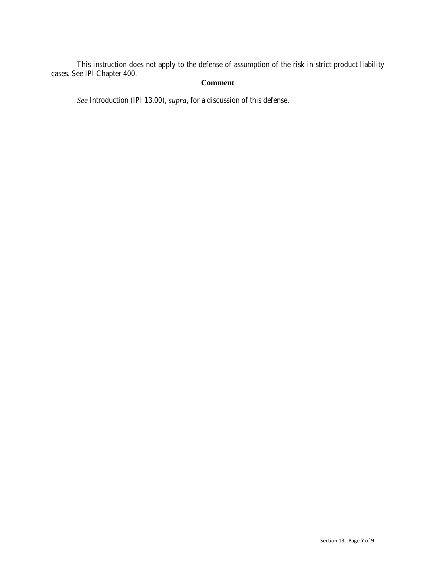This instruction does not apply to the defense of assumption of the risk in strict product liability cases. See IPI Chapter 400.

# **Comment**

*See* Introduction (IPI 13.00), *supra*, for a discussion of this defense.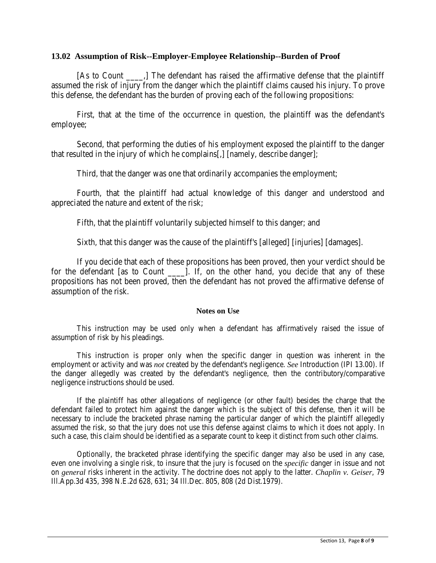## **13.02 Assumption of Risk--Employer-Employee Relationship--Burden of Proof**

[As to Count \_\_\_\_,] The defendant has raised the affirmative defense that the plaintiff assumed the risk of injury from the danger which the plaintiff claims caused his injury. To prove this defense, the defendant has the burden of proving each of the following propositions:

First, that at the time of the occurrence in question, the plaintiff was the defendant's employee;

Second, that performing the duties of his employment exposed the plaintiff to the danger that resulted in the injury of which he complains[,] [namely, describe danger];

Third, that the danger was one that ordinarily accompanies the employment;

Fourth, that the plaintiff had actual knowledge of this danger and understood and appreciated the nature and extent of the risk;

Fifth, that the plaintiff voluntarily subjected himself to this danger; and

Sixth, that this danger was the cause of the plaintiff's [alleged] [injuries] [damages].

If you decide that each of these propositions has been proved, then your verdict should be for the defendant [as to Count \_\_\_\_\_]. If, on the other hand, you decide that any of these propositions has not been proved, then the defendant has not proved the affirmative defense of assumption of the risk.

### **Notes on Use**

This instruction may be used only when a defendant has affirmatively raised the issue of assumption of risk by his pleadings.

This instruction is proper only when the specific danger in question was inherent in the employment or activity and was *not* created by the defendant's negligence. *See* Introduction (IPI 13.00). If the danger allegedly was created by the defendant's negligence, then the contributory/comparative negligence instructions should be used.

If the plaintiff has other allegations of negligence (or other fault) besides the charge that the defendant failed to protect him against the danger which is the subject of this defense, then it will be necessary to include the bracketed phrase naming the particular danger of which the plaintiff allegedly assumed the risk, so that the jury does not use this defense against claims to which it does not apply. In such a case, this claim should be identified as a separate count to keep it distinct from such other claims.

Optionally, the bracketed phrase identifying the specific danger may also be used in any case, even one involving a single risk, to insure that the jury is focused on the *specific* danger in issue and not on *general* risks inherent in the activity. The doctrine does not apply to the latter. *Chaplin v. Geiser*, 79 Ill.App.3d 435, 398 N.E.2d 628, 631; 34 Ill.Dec. 805, 808 (2d Dist.1979).